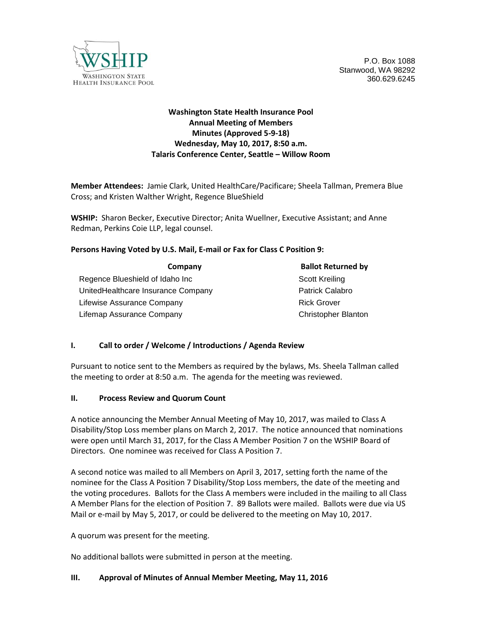

P.O. Box 1088 Stanwood, WA 98292 360.629.6245

# **Washington State Health Insurance Pool Annual Meeting of Members Minutes (Approved 5-9-18) Wednesday, May 10, 2017, 8:50 a.m. Talaris Conference Center, Seattle – Willow Room**

**Member Attendees:** Jamie Clark, United HealthCare/Pacificare; Sheela Tallman, Premera Blue Cross; and Kristen Walther Wright, Regence BlueShield

**WSHIP:** Sharon Becker, Executive Director; Anita Wuellner, Executive Assistant; and Anne Redman, Perkins Coie LLP, legal counsel.

#### **Persons Having Voted by U.S. Mail, E-mail or Fax for Class C Position 9:**

| Company                            | <b>Ballot Returned by</b>  |
|------------------------------------|----------------------------|
| Regence Blueshield of Idaho Inc    | Scott Kreiling             |
| UnitedHealthcare Insurance Company | <b>Patrick Calabro</b>     |
| Lifewise Assurance Company         | <b>Rick Grover</b>         |
| Lifemap Assurance Company          | <b>Christopher Blanton</b> |

## **I. Call to order / Welcome / Introductions / Agenda Review**

Pursuant to notice sent to the Members as required by the bylaws, Ms. Sheela Tallman called the meeting to order at 8:50 a.m. The agenda for the meeting was reviewed.

#### **II. Process Review and Quorum Count**

A notice announcing the Member Annual Meeting of May 10, 2017, was mailed to Class A Disability/Stop Loss member plans on March 2, 2017. The notice announced that nominations were open until March 31, 2017, for the Class A Member Position 7 on the WSHIP Board of Directors. One nominee was received for Class A Position 7.

A second notice was mailed to all Members on April 3, 2017, setting forth the name of the nominee for the Class A Position 7 Disability/Stop Loss members, the date of the meeting and the voting procedures. Ballots for the Class A members were included in the mailing to all Class A Member Plans for the election of Position 7. 89 Ballots were mailed. Ballots were due via US Mail or e-mail by May 5, 2017, or could be delivered to the meeting on May 10, 2017.

A quorum was present for the meeting.

No additional ballots were submitted in person at the meeting.

#### **III. Approval of Minutes of Annual Member Meeting, May 11, 2016**